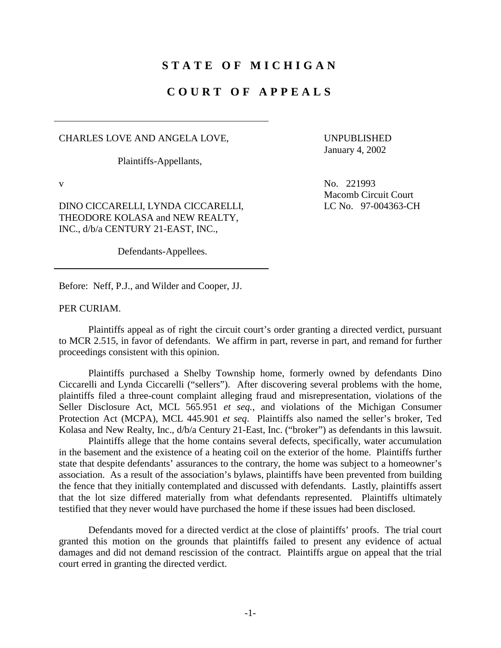## **STATE OF MICHIGAN**

# **COURT OF APPEALS**

#### CHARLES LOVE AND ANGELA LOVE,

Plaintiffs-Appellants,

 UNPUBLISHED January 4, 2002

Macomb Circuit Court LC No. 97-004363-CH

No. 221993

v

DINO CICCARELLI, LYNDA CICCARELLI, THEODORE KOLASA and NEW REALTY, INC., d/b/a CENTURY 21-EAST, INC.,

Defendants-Appellees.

Before: Neff, P.J., and Wilder and Cooper, JJ.<br>PER CURIAM.

 Plaintiffs appeal as of right the circuit court's order granting a directed verdict, pursuant to MCR 2.515, in favor of defendants. We affirm in part, reverse in part, and remand for further proceedings consistent with this opinion.

Plaintiffs purchased a Shelby Township home, formerly owned by defendants Dino Ciccarelli and Lynda Ciccarelli ("sellers"). After discovering several problems with the home, plaintiffs filed a three-count complaint alleging fraud and misrepresentation, violations of the Seller Disclosure Act, MCL 565.951 *et seq.*, and violations of the Michigan Consumer Protection Act (MCPA), MCL 445.901 *et seq*. Plaintiffs also named the seller's broker, Ted Kolasa and New Realty, Inc., d/b/a Century 21-East, Inc. ("broker") as defendants in this lawsuit.

 in the basement and the existence of a heating coil on the exterior of the home. Plaintiffs further that the lot size differed materially from what defendants represented. Plaintiffs ultimately Plaintiffs allege that the home contains several defects, specifically, water accumulation state that despite defendants' assurances to the contrary, the home was subject to a homeowner's association. As a result of the association's bylaws, plaintiffs have been prevented from building the fence that they initially contemplated and discussed with defendants. Lastly, plaintiffs assert testified that they never would have purchased the home if these issues had been disclosed.

Defendants moved for a directed verdict at the close of plaintiffs' proofs. The trial court granted this motion on the grounds that plaintiffs failed to present any evidence of actual damages and did not demand rescission of the contract. Plaintiffs argue on appeal that the trial court erred in granting the directed verdict.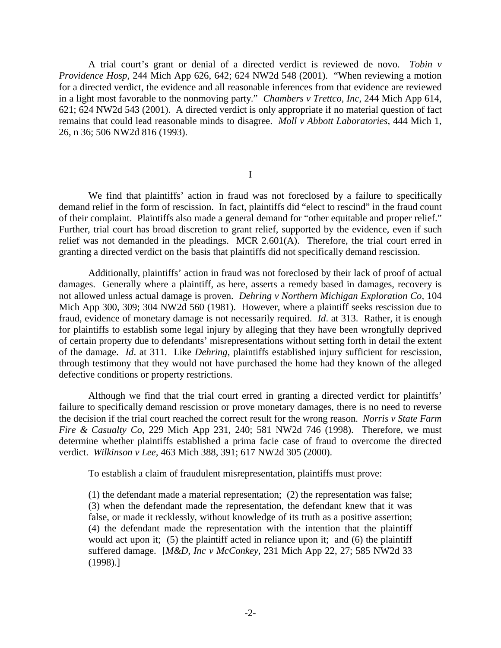A trial court's grant or denial of a directed verdict is reviewed de novo. *Tobin v Providence Hosp*, 244 Mich App 626, 642; 624 NW2d 548 (2001). "When reviewing a motion for a directed verdict, the evidence and all reasonable inferences from that evidence are reviewed in a light most favorable to the nonmoving party." *Chambers v Trettco, Inc*, 244 Mich App 614, 621; 624 NW2d 543 (2001). A directed verdict is only appropriate if no material question of fact remains that could lead reasonable minds to disagree. *Moll v Abbott Laboratories*, 444 Mich 1, 26, n 36; 506 NW2d 816 (1993).

I

 of their complaint. Plaintiffs also made a general demand for "other equitable and proper relief." We find that plaintiffs' action in fraud was not foreclosed by a failure to specifically demand relief in the form of rescission. In fact, plaintiffs did "elect to rescind" in the fraud count Further, trial court has broad discretion to grant relief, supported by the evidence, even if such relief was not demanded in the pleadings. MCR 2.601(A). Therefore, the trial court erred in granting a directed verdict on the basis that plaintiffs did not specifically demand rescission.

 damages. Generally where a plaintiff, as here, asserts a remedy based in damages, recovery is for plaintiffs to establish some legal injury by alleging that they have been wrongfully deprived Additionally, plaintiffs' action in fraud was not foreclosed by their lack of proof of actual not allowed unless actual damage is proven. *Dehring v Northern Michigan Exploration Co,* 104 Mich App 300, 309; 304 NW2d 560 (1981). However, where a plaintiff seeks rescission due to fraud, evidence of monetary damage is not necessarily required. *Id*. at 313. Rather, it is enough of certain property due to defendants' misrepresentations without setting forth in detail the extent of the damage. *Id*. at 311. Like *Dehring*, plaintiffs established injury sufficient for rescission, through testimony that they would not have purchased the home had they known of the alleged defective conditions or property restrictions.

 the decision if the trial court reached the correct result for the wrong reason. *Norris v State Farm*  Although we find that the trial court erred in granting a directed verdict for plaintiffs' failure to specifically demand rescission or prove monetary damages, there is no need to reverse *Fire & Casualty Co*, 229 Mich App 231, 240; 581 NW2d 746 (1998). Therefore, we must determine whether plaintiffs established a prima facie case of fraud to overcome the directed verdict. *Wilkinson v Lee,* 463 Mich 388, 391; 617 NW2d 305 (2000).

To establish a claim of fraudulent misrepresentation, plaintiffs must prove:

 (4) the defendant made the representation with the intention that the plaintiff (1) the defendant made a material representation; (2) the representation was false; (3) when the defendant made the representation, the defendant knew that it was false, or made it recklessly, without knowledge of its truth as a positive assertion; would act upon it; (5) the plaintiff acted in reliance upon it; and (6) the plaintiff suffered damage. [*M&D, Inc v McConkey*, 231 Mich App 22, 27; 585 NW2d 33 (1998).]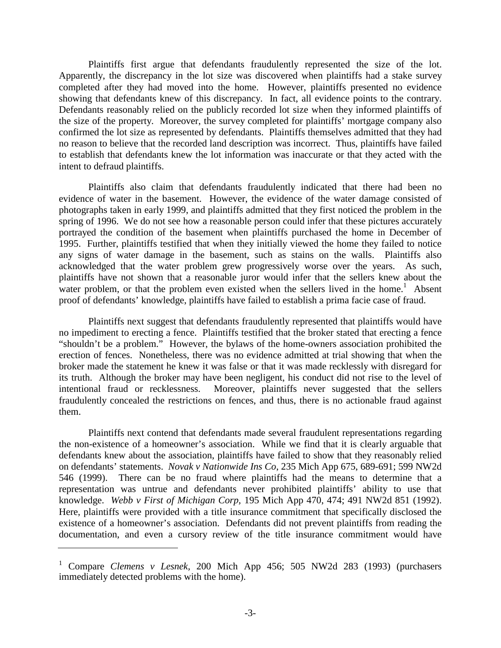Plaintiffs first argue that defendants fraudulently represented the size of the lot. the size of the property. Moreover, the survey completed for plaintiffs' mortgage company also confirmed the lot size as represented by defendants. Plaintiffs themselves admitted that they had Apparently, the discrepancy in the lot size was discovered when plaintiffs had a stake survey completed after they had moved into the home. However, plaintiffs presented no evidence showing that defendants knew of this discrepancy. In fact, all evidence points to the contrary. Defendants reasonably relied on the publicly recorded lot size when they informed plaintiffs of no reason to believe that the recorded land description was incorrect. Thus, plaintiffs have failed to establish that defendants knew the lot information was inaccurate or that they acted with the intent to defraud plaintiffs.

Plaintiffs also claim that defendants fraudulently indicated that there had been no evidence of water in the basement. However, the evidence of the water damage consisted of photographs taken in early 1999, and plaintiffs admitted that they first noticed the problem in the spring of 1996. We do not see how a reasonable person could infer that these pictures accurately portrayed the condition of the basement when plaintiffs purchased the home in December of 1995. Further, plaintiffs testified that when they initially viewed the home they failed to notice any signs of water damage in the basement, such as stains on the walls. Plaintiffs also acknowledged that the water problem grew progressively worse over the years. As such, plaintiffs have not shown that a reasonable juror would infer that the sellers knew about the water problem, or that the problem even existed when the sellers lived in the home.<sup>1</sup> Absent proof of defendants' knowledge, plaintiffs have failed to establish a prima facie case of fraud.

 no impediment to erecting a fence. Plaintiffs testified that the broker stated that erecting a fence erection of fences. Nonetheless, there was no evidence admitted at trial showing that when the Plaintiffs next suggest that defendants fraudulently represented that plaintiffs would have "shouldn't be a problem." However, the bylaws of the home-owners association prohibited the broker made the statement he knew it was false or that it was made recklessly with disregard for its truth. Although the broker may have been negligent, his conduct did not rise to the level of intentional fraud or recklessness. Moreover, plaintiffs never suggested that the sellers fraudulently concealed the restrictions on fences, and thus, there is no actionable fraud against them.

 defendants knew about the association, plaintiffs have failed to show that they reasonably relied Plaintiffs next contend that defendants made several fraudulent representations regarding the non-existence of a homeowner's association. While we find that it is clearly arguable that on defendants' statements. *Novak v Nationwide Ins Co*, 235 Mich App 675, 689-691; 599 NW2d 546 (1999). There can be no fraud where plaintiffs had the means to determine that a representation was untrue and defendants never prohibited plaintiffs' ability to use that knowledge. *Webb v First of Michigan Corp,* 195 Mich App 470, 474; 491 NW2d 851 (1992). Here, plaintiffs were provided with a title insurance commitment that specifically disclosed the existence of a homeowner's association. Defendants did not prevent plaintiffs from reading the documentation, and even a cursory review of the title insurance commitment would have

<sup>&</sup>lt;sup>1</sup> Compare *Clemens v Lesnek*, 200 Mich App 456; 505 NW2d 283 (1993) (purchasers immediately detected problems with the home).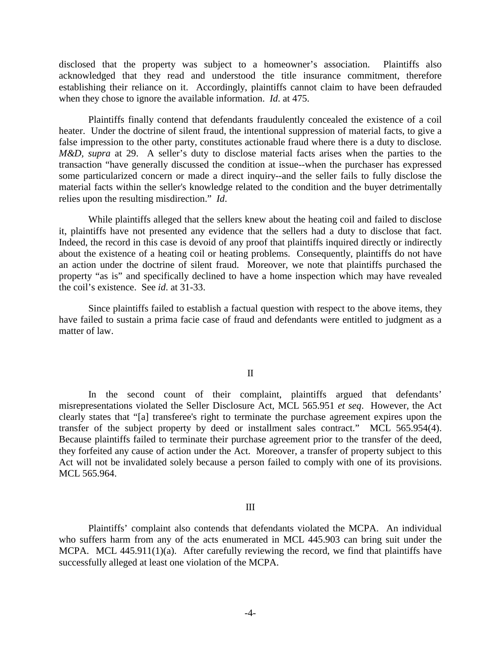disclosed that the property was subject to a homeowner's association. Plaintiffs also acknowledged that they read and understood the title insurance commitment, therefore establishing their reliance on it. Accordingly, plaintiffs cannot claim to have been defrauded when they chose to ignore the available information. *Id*. at 475.

 false impression to the other party, constitutes actionable fraud where there is a duty to disclose*.*  Plaintiffs finally contend that defendants fraudulently concealed the existence of a coil heater. Under the doctrine of silent fraud, the intentional suppression of material facts, to give a *M&D, supra* at 29. A seller's duty to disclose material facts arises when the parties to the transaction "have generally discussed the condition at issue--when the purchaser has expressed some particularized concern or made a direct inquiry--and the seller fails to fully disclose the material facts within the seller's knowledge related to the condition and the buyer detrimentally relies upon the resulting misdirection." *Id*.

While plaintiffs alleged that the sellers knew about the heating coil and failed to disclose it, plaintiffs have not presented any evidence that the sellers had a duty to disclose that fact. Indeed, the record in this case is devoid of any proof that plaintiffs inquired directly or indirectly about the existence of a heating coil or heating problems. Consequently, plaintiffs do not have an action under the doctrine of silent fraud. Moreover, we note that plaintiffs purchased the property "as is" and specifically declined to have a home inspection which may have revealed the coil's existence. See *id*. at 31-33.

Since plaintiffs failed to establish a factual question with respect to the above items, they have failed to sustain a prima facie case of fraud and defendants were entitled to judgment as a matter of law.

### II

 transfer of the subject property by deed or installment sales contract." MCL 565.954(4). In the second count of their complaint, plaintiffs argued that defendants' misrepresentations violated the Seller Disclosure Act, MCL 565.951 *et seq*. However, the Act clearly states that "[a] transferee's right to terminate the purchase agreement expires upon the Because plaintiffs failed to terminate their purchase agreement prior to the transfer of the deed, they forfeited any cause of action under the Act. Moreover, a transfer of property subject to this Act will not be invalidated solely because a person failed to comply with one of its provisions. MCL 565.964.

#### III

Plaintiffs' complaint also contends that defendants violated the MCPA. An individual who suffers harm from any of the acts enumerated in MCL 445.903 can bring suit under the MCPA. MCL 445.911(1)(a). After carefully reviewing the record, we find that plaintiffs have successfully alleged at least one violation of the MCPA.